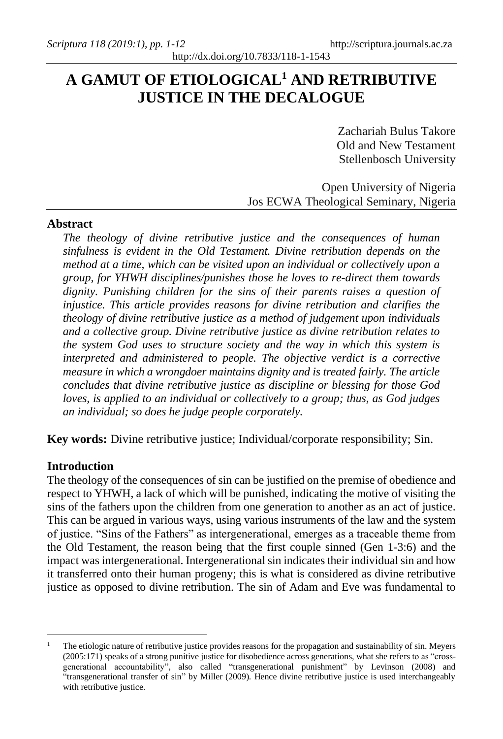# **A GAMUT OF ETIOLOGICAL<sup>1</sup> AND RETRIBUTIVE JUSTICE IN THE DECALOGUE**

Zachariah Bulus Takore Old and New Testament Stellenbosch University

Open University of Nigeria Jos ECWA Theological Seminary, Nigeria

## **Abstract**

*The theology of divine retributive justice and the consequences of human sinfulness is evident in the Old Testament. Divine retribution depends on the method at a time, which can be visited upon an individual or collectively upon a group, for YHWH disciplines/punishes those he loves to re-direct them towards dignity. Punishing children for the sins of their parents raises a question of injustice. This article provides reasons for divine retribution and clarifies the theology of divine retributive justice as a method of judgement upon individuals and a collective group. Divine retributive justice as divine retribution relates to the system God uses to structure society and the way in which this system is interpreted and administered to people. The objective verdict is a corrective measure in which a wrongdoer maintains dignity and is treated fairly. The article concludes that divine retributive justice as discipline or blessing for those God loves, is applied to an individual or collectively to a group; thus, as God judges an individual; so does he judge people corporately.* 

**Key words:** Divine retributive justice; Individual/corporate responsibility; Sin.

# **Introduction**

The theology of the consequences of sin can be justified on the premise of obedience and respect to YHWH, a lack of which will be punished, indicating the motive of visiting the sins of the fathers upon the children from one generation to another as an act of justice. This can be argued in various ways, using various instruments of the law and the system of justice. "Sins of the Fathers" as intergenerational, emerges as a traceable theme from the Old Testament, the reason being that the first couple sinned (Gen 1-3:6) and the impact was intergenerational. Intergenerational sin indicates their individual sin and how it transferred onto their human progeny; this is what is considered as divine retributive justice as opposed to divine retribution. The sin of Adam and Eve was fundamental to

The etiologic nature of retributive justice provides reasons for the propagation and sustainability of sin. Meyers (2005:171) speaks of a strong punitive justice for disobedience across generations, what she refers to as "crossgenerational accountability", also called "transgenerational punishment" by Levinson (2008) and "transgenerational transfer of sin" by Miller (2009). Hence divine retributive justice is used interchangeably with retributive justice.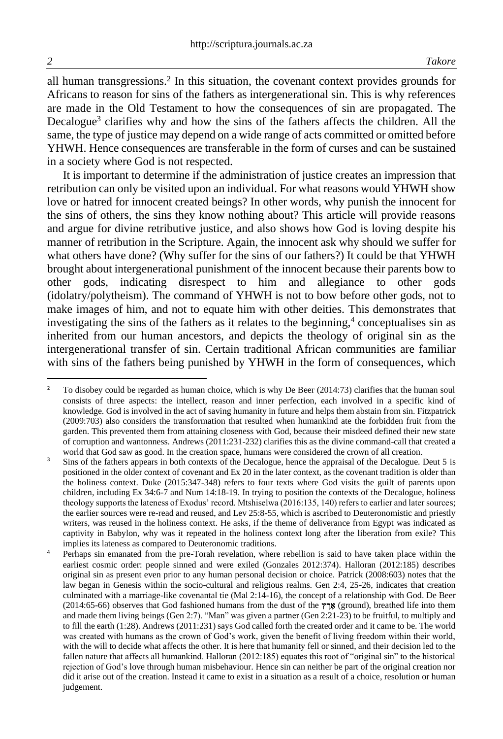all human transgressions.<sup>2</sup> In this situation, the covenant context provides grounds for Africans to reason for sins of the fathers as intergenerational sin. This is why references are made in the Old Testament to how the consequences of sin are propagated. The Decalogue<sup>3</sup> clarifies why and how the sins of the fathers affects the children. All the same, the type of justice may depend on a wide range of acts committed or omitted before YHWH. Hence consequences are transferable in the form of curses and can be sustained in a society where God is not respected.

It is important to determine if the administration of justice creates an impression that retribution can only be visited upon an individual. For what reasons would YHWH show love or hatred for innocent created beings? In other words, why punish the innocent for the sins of others, the sins they know nothing about? This article will provide reasons and argue for divine retributive justice, and also shows how God is loving despite his manner of retribution in the Scripture. Again, the innocent ask why should we suffer for what others have done? (Why suffer for the sins of our fathers?) It could be that YHWH brought about intergenerational punishment of the innocent because their parents bow to other gods, indicating disrespect to him and allegiance to other gods (idolatry/polytheism). The command of YHWH is not to bow before other gods, not to make images of him, and not to equate him with other deities. This demonstrates that investigating the sins of the fathers as it relates to the beginning, $4$  conceptualises sin as inherited from our human ancestors, and depicts the theology of original sin as the intergenerational transfer of sin. Certain traditional African communities are familiar with sins of the fathers being punished by YHWH in the form of consequences, which

<sup>&</sup>lt;sup>2</sup> To disobey could be regarded as human choice, which is why De Beer (2014:73) clarifies that the human soul consists of three aspects: the intellect, reason and inner perfection, each involved in a specific kind of knowledge. God is involved in the act of saving humanity in future and helps them abstain from sin. Fitzpatrick (2009:703) also considers the transformation that resulted when humankind ate the forbidden fruit from the garden. This prevented them from attaining closeness with God, because their misdeed defined their new state of corruption and wantonness. Andrews (2011:231-232) clarifies this as the divine command-call that created a world that God saw as good. In the creation space, humans were considered the crown of all creation.

<sup>&</sup>lt;sup>3</sup> Sins of the fathers appears in both contexts of the Decalogue, hence the appraisal of the Decalogue. Deut 5 is positioned in the older context of covenant and Ex 20 in the later context, as the covenant tradition is older than the holiness context. Duke (2015:347-348) refers to four texts where God visits the guilt of parents upon children, including Ex 34:6-7 and Num 14:18-19. In trying to position the contexts of the Decalogue, holiness theology supports the lateness of Exodus' record. Mtshiselwa (2016:135, 140) refers to earlier and later sources; the earlier sources were re-read and reused, and Lev 25:8-55, which is ascribed to Deuteronomistic and priestly writers, was reused in the holiness context. He asks, if the theme of deliverance from Egypt was indicated as captivity in Babylon, why was it repeated in the holiness context long after the liberation from exile? This implies its lateness as compared to Deuteronomic traditions.

Perhaps sin emanated from the pre-Torah revelation, where rebellion is said to have taken place within the earliest cosmic order: people sinned and were exiled (Gonzales 2012:374). Halloran (2012:185) describes original sin as present even prior to any human personal decision or choice. Patrick (2008:603) notes that the law began in Genesis within the socio-cultural and religious realms. Gen 2:4, 25-26, indicates that creation culminated with a marriage-like covenantal tie (Mal 2:14-16), the concept of a relationship with God. De Beer (2014:65-66) observes that God fashioned humans from the dust of the **ץ ֶר ֶא**) ground), breathed life into them and made them living beings (Gen 2:7). "Man" was given a partner (Gen 2:21-23) to be fruitful, to multiply and to fill the earth (1:28). Andrews (2011:231) says God called forth the created order and it came to be. The world was created with humans as the crown of God's work, given the benefit of living freedom within their world, with the will to decide what affects the other. It is here that humanity fell or sinned, and their decision led to the fallen nature that affects all humankind. Halloran (2012:185) equates this root of "original sin" to the historical rejection of God's love through human misbehaviour. Hence sin can neither be part of the original creation nor did it arise out of the creation. Instead it came to exist in a situation as a result of a choice, resolution or human judgement.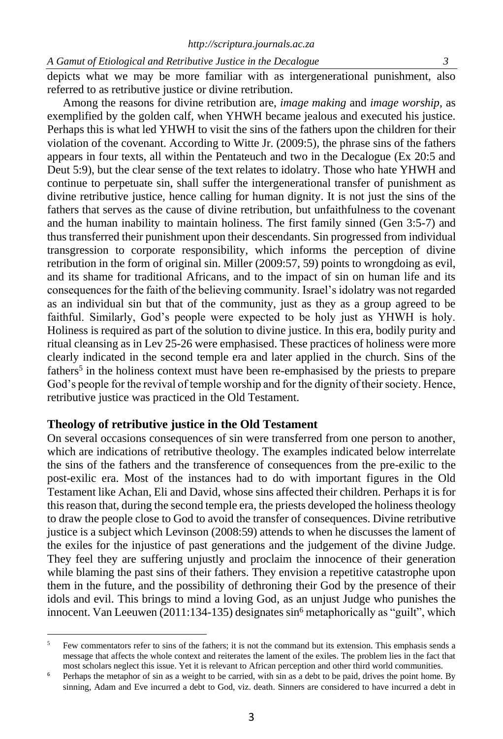depicts what we may be more familiar with as intergenerational punishment, also referred to as retributive justice or divine retribution.

Among the reasons for divine retribution are, *image making* and *image worship,* as exemplified by the golden calf, when YHWH became jealous and executed his justice. Perhaps this is what led YHWH to visit the sins of the fathers upon the children for their violation of the covenant. According to Witte Jr. (2009:5), the phrase sins of the fathers appears in four texts, all within the Pentateuch and two in the Decalogue (Ex 20:5 and Deut 5:9), but the clear sense of the text relates to idolatry. Those who hate YHWH and continue to perpetuate sin, shall suffer the intergenerational transfer of punishment as divine retributive justice, hence calling for human dignity. It is not just the sins of the fathers that serves as the cause of divine retribution, but unfaithfulness to the covenant and the human inability to maintain holiness. The first family sinned (Gen 3:5-7) and thus transferred their punishment upon their descendants. Sin progressed from individual transgression to corporate responsibility, which informs the perception of divine retribution in the form of original sin. Miller (2009:57, 59) points to wrongdoing as evil, and its shame for traditional Africans, and to the impact of sin on human life and its consequences for the faith of the believing community. Israel's idolatry was not regarded as an individual sin but that of the community, just as they as a group agreed to be faithful. Similarly, God's people were expected to be holy just as YHWH is holy. Holiness is required as part of the solution to divine justice. In this era, bodily purity and ritual cleansing as in Lev 25-26 were emphasised. These practices of holiness were more clearly indicated in the second temple era and later applied in the church. Sins of the fathers<sup>5</sup> in the holiness context must have been re-emphasised by the priests to prepare God's people for the revival of temple worship and for the dignity of their society. Hence, retributive justice was practiced in the Old Testament.

## **Theology of retributive justice in the Old Testament**

On several occasions consequences of sin were transferred from one person to another, which are indications of retributive theology. The examples indicated below interrelate the sins of the fathers and the transference of consequences from the pre-exilic to the post-exilic era. Most of the instances had to do with important figures in the Old Testament like Achan, Eli and David, whose sins affected their children. Perhaps it is for this reason that, during the second temple era, the priests developed the holiness theology to draw the people close to God to avoid the transfer of consequences. Divine retributive justice is a subject which Levinson (2008:59) attends to when he discusses the lament of the exiles for the injustice of past generations and the judgement of the divine Judge. They feel they are suffering unjustly and proclaim the innocence of their generation while blaming the past sins of their fathers. They envision a repetitive catastrophe upon them in the future, and the possibility of dethroning their God by the presence of their idols and evil. This brings to mind a loving God, as an unjust Judge who punishes the innocent. Van Leeuwen (2011:134-135) designates  $sin<sup>6</sup>$  metaphorically as "guilt", which

<sup>5</sup> Few commentators refer to sins of the fathers; it is not the command but its extension. This emphasis sends a message that affects the whole context and reiterates the lament of the exiles. The problem lies in the fact that most scholars neglect this issue. Yet it is relevant to African perception and other third world communities.

<sup>6</sup> Perhaps the metaphor of sin as a weight to be carried, with sin as a debt to be paid, drives the point home*.* By sinning, Adam and Eve incurred a debt to God, viz. death. Sinners are considered to have incurred a debt in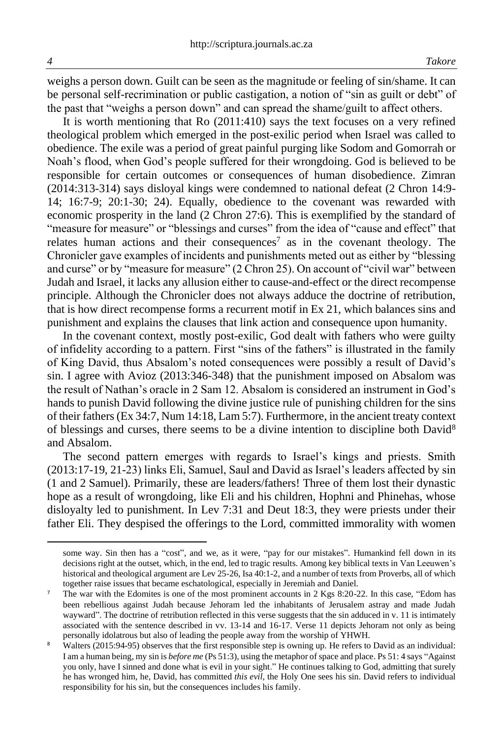weighs a person down. Guilt can be seen as the magnitude or feeling of sin/shame. It can be personal self-recrimination or public castigation, a notion of "sin as guilt or debt" of the past that "weighs a person down" and can spread the shame/guilt to affect others.

It is worth mentioning that Ro (2011:410) says the text focuses on a very refined theological problem which emerged in the post-exilic period when Israel was called to obedience. The exile was a period of great painful purging like Sodom and Gomorrah or Noah's flood, when God's people suffered for their wrongdoing. God is believed to be responsible for certain outcomes or consequences of human disobedience. Zimran (2014:313-314) says disloyal kings were condemned to national defeat (2 Chron 14:9- 14; 16:7-9; 20:1-30; 24). Equally, obedience to the covenant was rewarded with economic prosperity in the land (2 Chron 27:6). This is exemplified by the standard of "measure for measure" or "blessings and curses" from the idea of "cause and effect" that relates human actions and their consequences<sup>7</sup> as in the covenant theology. The Chronicler gave examples of incidents and punishments meted out as either by "blessing and curse" or by "measure for measure" (2 Chron 25). On account of "civil war" between Judah and Israel, it lacks any allusion either to cause-and-effect or the direct recompense principle. Although the Chronicler does not always adduce the doctrine of retribution, that is how direct recompense forms a recurrent motif in Ex 21, which balances sins and punishment and explains the clauses that link action and consequence upon humanity.

In the covenant context, mostly post-exilic, God dealt with fathers who were guilty of infidelity according to a pattern. First "sins of the fathers" is illustrated in the family of King David, thus Absalom's noted consequences were possibly a result of David's sin. I agree with Avioz (2013:346-348) that the punishment imposed on Absalom was the result of Nathan's oracle in 2 Sam 12. Absalom is considered an instrument in God's hands to punish David following the divine justice rule of punishing children for the sins of their fathers (Ex 34:7, Num 14:18, Lam 5:7). Furthermore, in the ancient treaty context of blessings and curses, there seems to be a divine intention to discipline both David<sup>8</sup> and Absalom.

The second pattern emerges with regards to Israel's kings and priests. Smith (2013:17-19, 21-23) links Eli, Samuel, Saul and David as Israel's leaders affected by sin (1 and 2 Samuel). Primarily, these are leaders/fathers! Three of them lost their dynastic hope as a result of wrongdoing, like Eli and his children, Hophni and Phinehas, whose disloyalty led to punishment. In Lev 7:31 and Deut 18:3, they were priests under their father Eli. They despised the offerings to the Lord, committed immorality with women

some way. Sin then has a "cost", and we, as it were, "pay for our mistakes". Humankind fell down in its decisions right at the outset, which, in the end, led to tragic results. Among key biblical texts in Van Leeuwen's historical and theological argument are Lev 25-26, Isa 40:1-2, and a number of texts from Proverbs, all of which together raise issues that became eschatological, especially in Jeremiah and Daniel.

<sup>&</sup>lt;sup>7</sup> The war with the Edomites is one of the most prominent accounts in 2 Kgs 8:20-22. In this case, "Edom has been rebellious against Judah because Jehoram led the inhabitants of Jerusalem astray and made Judah wayward". The doctrine of retribution reflected in this verse suggests that the sin adduced in v. 11 is intimately associated with the sentence described in vv. 13-14 and 16-17. Verse 11 depicts Jehoram not only as being personally idolatrous but also of leading the people away from the worship of YHWH.

Walters (2015:94-95) observes that the first responsible step is owning up. He refers to David as an individual: I am a human being, my sin is *before me* (Ps 51:3)*,* using the metaphor of space and place. Ps 51: 4 says "Against you only, have I sinned and done what is evil in your sight." He continues talking to God, admitting that surely he has wronged him, he, David, has committed *this evil*, the Holy One sees his sin. David refers to individual responsibility for his sin, but the consequences includes his family.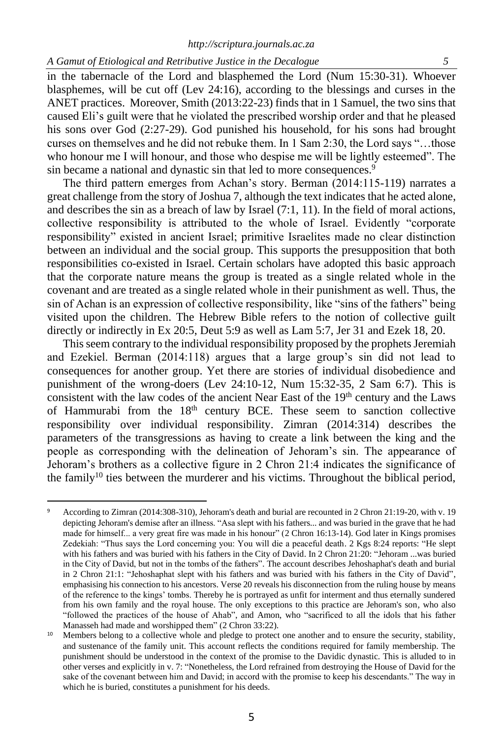in the tabernacle of the Lord and blasphemed the Lord (Num 15:30-31). Whoever blasphemes, will be cut off (Lev 24:16), according to the blessings and curses in the ANET practices. Moreover, Smith (2013:22-23) finds that in 1 Samuel, the two sins that caused Eli's guilt were that he violated the prescribed worship order and that he pleased his sons over God (2:27-29). God punished his household, for his sons had brought curses on themselves and he did not rebuke them. In 1 Sam 2:30, the Lord says "…those who honour me I will honour, and those who despise me will be lightly esteemed". The sin became a national and dynastic sin that led to more consequences.<sup>9</sup>

The third pattern emerges from Achan's story. Berman (2014:115-119) narrates a great challenge from the story of Joshua 7, although the text indicates that he acted alone, and describes the sin as a breach of law by Israel (7:1, 11). In the field of moral actions, collective responsibility is attributed to the whole of Israel. Evidently "corporate responsibility" existed in ancient Israel; primitive Israelites made no clear distinction between an individual and the social group. This supports the presupposition that both responsibilities co-existed in Israel. Certain scholars have adopted this basic approach that the corporate nature means the group is treated as a single related whole in the covenant and are treated as a single related whole in their punishment as well. Thus, the sin of Achan is an expression of collective responsibility, like "sins of the fathers" being visited upon the children. The Hebrew Bible refers to the notion of collective guilt directly or indirectly in Ex 20:5, Deut 5:9 as well as Lam 5:7, Jer 31 and Ezek 18, 20.

This seem contrary to the individual responsibility proposed by the prophets Jeremiah and Ezekiel. Berman (2014:118) argues that a large group's sin did not lead to consequences for another group. Yet there are stories of individual disobedience and punishment of the wrong-doers (Lev 24:10-12, Num 15:32-35, 2 Sam 6:7). This is consistent with the law codes of the ancient Near East of the  $19<sup>th</sup>$  century and the Laws of Hammurabi from the  $18<sup>th</sup>$  century BCE. These seem to sanction collective responsibility over individual responsibility. Zimran (2014:314) describes the parameters of the transgressions as having to create a link between the king and the people as corresponding with the delineation of Jehoram's sin. The appearance of Jehoram's brothers as a collective figure in 2 Chron 21:4 indicates the significance of the family<sup>10</sup> ties between the murderer and his victims. Throughout the biblical period,

<sup>9</sup> According to Zimran (2014:308-310), Jehoram's death and burial are recounted in 2 Chron 21:19-20, with v. 19 depicting Jehoram's demise after an illness. "Asa slept with his fathers... and was buried in the grave that he had made for himself... a very great fire was made in his honour" (2 Chron 16:13-14). God later in Kings promises Zedekiah: "Thus says the Lord concerning you: You will die a peaceful death. 2 Kgs 8:24 reports: "He slept with his fathers and was buried with his fathers in the City of David. In 2 Chron 21:20: "Jehoram ...was buried in the City of David, but not in the tombs of the fathers". The account describes Jehoshaphat's death and burial in 2 Chron 21:1: "Jehoshaphat slept with his fathers and was buried with his fathers in the City of David", emphasising his connection to his ancestors. Verse 20 reveals his disconnection from the ruling house by means of the reference to the kings' tombs. Thereby he is portrayed as unfit for interment and thus eternally sundered from his own family and the royal house. The only exceptions to this practice are Jehoram's son, who also "followed the practices of the house of Ahab", and Amon, who "sacrificed to all the idols that his father Manasseh had made and worshipped them" (2 Chron 33:22).

<sup>&</sup>lt;sup>10</sup> Members belong to a collective whole and pledge to protect one another and to ensure the security, stability, and sustenance of the family unit. This account reflects the conditions required for family membership. The punishment should be understood in the context of the promise to the Davidic dynastic. This is alluded to in other verses and explicitly in v. 7: "Nonetheless, the Lord refrained from destroying the House of David for the sake of the covenant between him and David; in accord with the promise to keep his descendants." The way in which he is buried, constitutes a punishment for his deeds.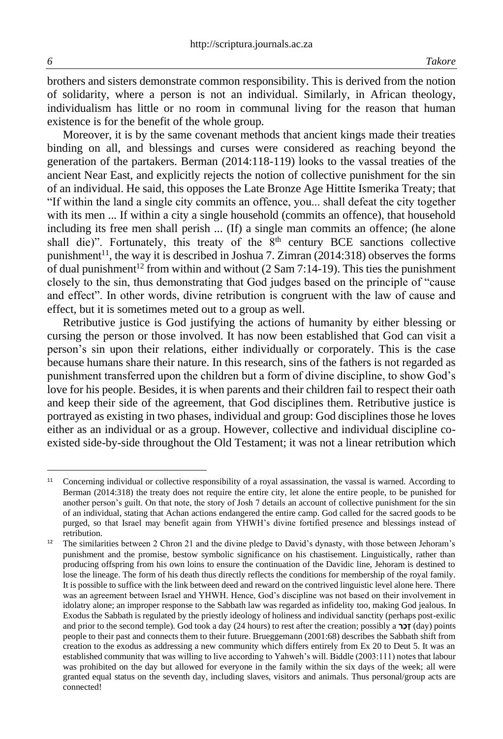brothers and sisters demonstrate common responsibility. This is derived from the notion of solidarity, where a person is not an individual. Similarly, in African theology, individualism has little or no room in communal living for the reason that human existence is for the benefit of the whole group.

Moreover, it is by the same covenant methods that ancient kings made their treaties binding on all, and blessings and curses were considered as reaching beyond the generation of the partakers. Berman (2014:118-119) looks to the vassal treaties of the ancient Near East, and explicitly rejects the notion of collective punishment for the sin of an individual. He said, this opposes the Late Bronze Age Hittite Ismerika Treaty; that "If within the land a single city commits an offence, you... shall defeat the city together with its men ... If within a city a single household (commits an offence), that household including its free men shall perish ... (If) a single man commits an offence; (he alone shall die)". Fortunately, this treaty of the  $8<sup>th</sup>$  century BCE sanctions collective punishment<sup>11</sup>, the way it is described in Joshua 7. Zimran (2014:318) observes the forms of dual punishment<sup>12</sup> from within and without (2 Sam 7:14-19). This ties the punishment closely to the sin, thus demonstrating that God judges based on the principle of "cause and effect". In other words, divine retribution is congruent with the law of cause and effect, but it is sometimes meted out to a group as well.

Retributive justice is God justifying the actions of humanity by either blessing or cursing the person or those involved. It has now been established that God can visit a person's sin upon their relations, either individually or corporately. This is the case because humans share their nature. In this research, sins of the fathers is not regarded as punishment transferred upon the children but a form of divine discipline, to show God's love for his people. Besides, it is when parents and their children fail to respect their oath and keep their side of the agreement, that God disciplines them. Retributive justice is portrayed as existing in two phases, individual and group: God disciplines those he loves either as an individual or as a group. However, collective and individual discipline coexisted side-by-side throughout the Old Testament; it was not a linear retribution which

<sup>&</sup>lt;sup>11</sup> Concerning individual or collective responsibility of a royal assassination, the vassal is warned. According to Berman (2014:318) the treaty does not require the entire city, let alone the entire people, to be punished for another person's guilt. On that note, the story of Josh 7 details an account of collective punishment for the sin of an individual, stating that Achan actions endangered the entire camp. God called for the sacred goods to be purged, so that Israel may benefit again from YHWH's divine fortified presence and blessings instead of retribution.

<sup>12</sup> The similarities between 2 Chron 21 and the divine pledge to David's dynasty, with those between Jehoram's punishment and the promise, bestow symbolic significance on his chastisement. Linguistically, rather than producing offspring from his own loins to ensure the continuation of the Davidic line, Jehoram is destined to lose the lineage. The form of his death thus directly reflects the conditions for membership of the royal family. It is possible to suffice with the link between deed and reward on the contrived linguistic level alone here. There was an agreement between Israel and YHWH. Hence, God's discipline was not based on their involvement in idolatry alone; an improper response to the Sabbath law was regarded as infidelity too, making God jealous. In Exodus the Sabbath is regulated by the priestly ideology of holiness and individual sanctity (perhaps post-exilic and prior to the second temple). God took a day (24 hours) to rest after the creation; possibly a **רַכָז**) day) points people to their past and connects them to their future. Brueggemann (2001:68) describes the Sabbath shift from creation to the exodus as addressing a new community which differs entirely from Ex 20 to Deut 5. It was an established community that was willing to live according to Yahweh's will. Biddle (2003:111) notes that labour was prohibited on the day but allowed for everyone in the family within the six days of the week; all were granted equal status on the seventh day, including slaves, visitors and animals. Thus personal/group acts are connected!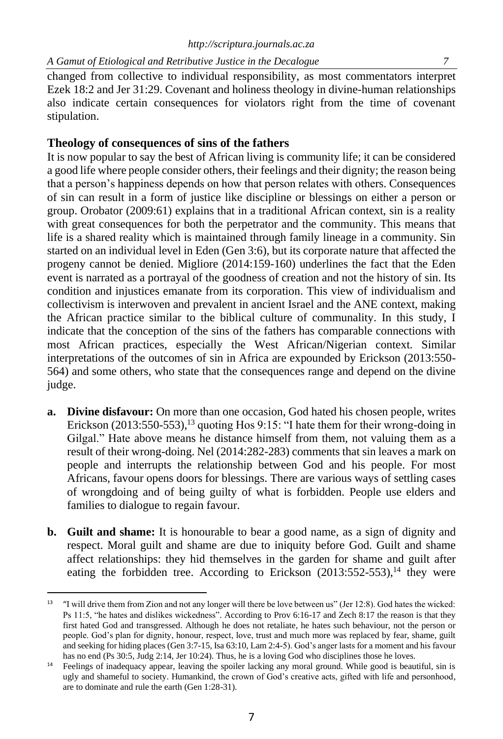changed from collective to individual responsibility, as most commentators interpret Ezek 18:2 and Jer 31:29. Covenant and holiness theology in divine-human relationships also indicate certain consequences for violators right from the time of covenant stipulation.

# **Theology of consequences of sins of the fathers**

It is now popular to say the best of African living is community life; it can be considered a good life where people consider others, their feelings and their dignity; the reason being that a person's happiness depends on how that person relates with others. Consequences of sin can result in a form of justice like discipline or blessings on either a person or group. Orobator (2009:61) explains that in a traditional African context, sin is a reality with great consequences for both the perpetrator and the community. This means that life is a shared reality which is maintained through family lineage in a community. Sin started on an individual level in Eden (Gen 3:6), but its corporate nature that affected the progeny cannot be denied. Migliore (2014:159-160) underlines the fact that the Eden event is narrated as a portrayal of the goodness of creation and not the history of sin. Its condition and injustices emanate from its corporation. This view of individualism and collectivism is interwoven and prevalent in ancient Israel and the ANE context, making the African practice similar to the biblical culture of communality. In this study, I indicate that the conception of the sins of the fathers has comparable connections with most African practices, especially the West African/Nigerian context. Similar interpretations of the outcomes of sin in Africa are expounded by Erickson (2013:550- 564) and some others, who state that the consequences range and depend on the divine judge.

- **a. Divine disfavour:** On more than one occasion, God hated his chosen people, writes Erickson  $(2013:550-553)$ ,<sup>13</sup> quoting Hos 9:15: "I hate them for their wrong-doing in Gilgal." Hate above means he distance himself from them, not valuing them as a result of their wrong-doing. Nel (2014:282-283) comments that sin leaves a mark on people and interrupts the relationship between God and his people. For most Africans, favour opens doors for blessings. There are various ways of settling cases of wrongdoing and of being guilty of what is forbidden. People use elders and families to dialogue to regain favour.
- **b. Guilt and shame:** It is honourable to bear a good name, as a sign of dignity and respect. Moral guilt and shame are due to iniquity before God. Guilt and shame affect relationships: they hid themselves in the garden for shame and guilt after eating the forbidden tree. According to Erickson  $(2013:552-553)$ ,<sup>14</sup> they were

<sup>&</sup>lt;sup>13</sup> "I will drive them from Zion and not any longer will there be love between us" (Jer 12:8). God hates the wicked: Ps 11:5, "he hates and dislikes wickedness". According to Prov 6:16-17 and Zech 8:17 the reason is that they first hated God and transgressed. Although he does not retaliate, he hates such behaviour, not the person or people. God's plan for dignity, honour, respect, love, trust and much more was replaced by fear, shame, guilt and seeking for hiding places (Gen 3:7-15, Isa 63:10, Lam 2:4-5). God's anger lasts for a moment and his favour has no end (Ps 30:5, Judg 2:14, Jer 10:24). Thus, he is a loving God who disciplines those he loves.

<sup>&</sup>lt;sup>14</sup> Feelings of inadequacy appear, leaving the spoiler lacking any moral ground. While good is beautiful, sin is ugly and shameful to society. Humankind, the crown of God's creative acts, gifted with life and personhood, are to dominate and rule the earth (Gen 1:28-31).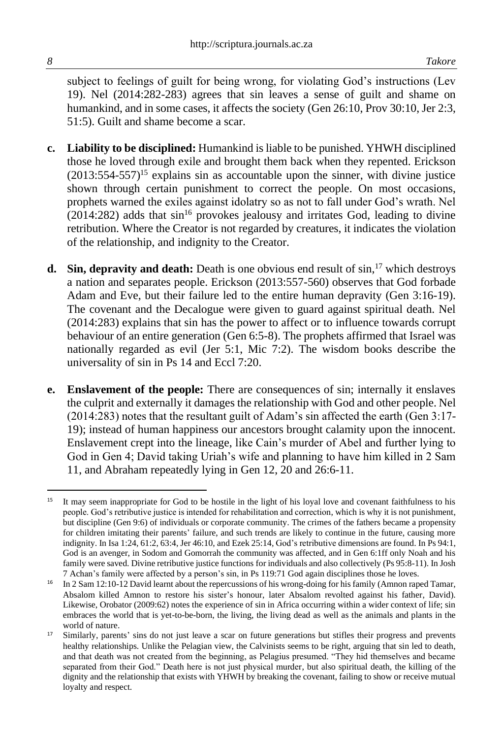subject to feelings of guilt for being wrong, for violating God's instructions (Lev 19). Nel (2014:282-283) agrees that sin leaves a sense of guilt and shame on humankind, and in some cases, it affects the society (Gen 26:10, Prov 30:10, Jer 2:3, 51:5). Guilt and shame become a scar.

- **c. Liability to be disciplined:** Humankind is liable to be punished. YHWH disciplined those he loved through exile and brought them back when they repented. Erickson  $(2013:554-557)^{15}$  explains sin as accountable upon the sinner, with divine justice shown through certain punishment to correct the people. On most occasions, prophets warned the exiles against idolatry so as not to fall under God's wrath. Nel  $(2014:282)$  adds that sin<sup>16</sup> provokes jealousy and irritates God, leading to divine retribution. Where the Creator is not regarded by creatures, it indicates the violation of the relationship, and indignity to the Creator.
- **d.** Sin, depravity and death: Death is one obvious end result of  $\sin^{-17}$  which destroys a nation and separates people. Erickson (2013:557-560) observes that God forbade Adam and Eve, but their failure led to the entire human depravity (Gen 3:16-19). The covenant and the Decalogue were given to guard against spiritual death. Nel (2014:283) explains that sin has the power to affect or to influence towards corrupt behaviour of an entire generation (Gen 6:5-8). The prophets affirmed that Israel was nationally regarded as evil (Jer 5:1, Mic 7:2). The wisdom books describe the universality of sin in Ps 14 and Eccl 7:20.
- **e. Enslavement of the people:** There are consequences of sin; internally it enslaves the culprit and externally it damages the relationship with God and other people. Nel (2014:283) notes that the resultant guilt of Adam's sin affected the earth (Gen 3:17- 19); instead of human happiness our ancestors brought calamity upon the innocent. Enslavement crept into the lineage, like Cain's murder of Abel and further lying to God in Gen 4; David taking Uriah's wife and planning to have him killed in 2 Sam 11, and Abraham repeatedly lying in Gen 12, 20 and 26:6-11.

<sup>&</sup>lt;sup>15</sup> It may seem inappropriate for God to be hostile in the light of his loyal love and covenant faithfulness to his people. God's retributive justice is intended for rehabilitation and correction, which is why it is not punishment, but discipline (Gen 9:6) of individuals or corporate community. The crimes of the fathers became a propensity for children imitating their parents' failure, and such trends are likely to continue in the future, causing more indignity. In Isa 1:24, 61:2, 63:4, Jer 46:10, and Ezek 25:14, God's retributive dimensions are found. In Ps 94:1, God is an avenger, in Sodom and Gomorrah the community was affected, and in Gen 6:1ff only Noah and his family were saved. Divine retributive justice functions for individuals and also collectively (Ps 95:8-11). In Josh 7 Achan's family were affected by a person's sin, in Ps 119:71 God again disciplines those he loves.

<sup>&</sup>lt;sup>16</sup> In 2 Sam 12:10-12 David learnt about the repercussions of his wrong-doing for his family (Amnon raped Tamar, Absalom killed Amnon to restore his sister's honour, later Absalom revolted against his father, David). Likewise, Orobator (2009:62) notes the experience of sin in Africa occurring within a wider context of life; sin embraces the world that is yet-to-be-born, the living, the living dead as well as the animals and plants in the world of nature.

<sup>&</sup>lt;sup>17</sup> Similarly, parents' sins do not just leave a scar on future generations but stifles their progress and prevents healthy relationships. Unlike the Pelagian view, the Calvinists seems to be right, arguing that sin led to death, and that death was not created from the beginning, as Pelagius presumed. "They hid themselves and became separated from their God." Death here is not just physical murder, but also spiritual death, the killing of the dignity and the relationship that exists with YHWH by breaking the covenant, failing to show or receive mutual loyalty and respect.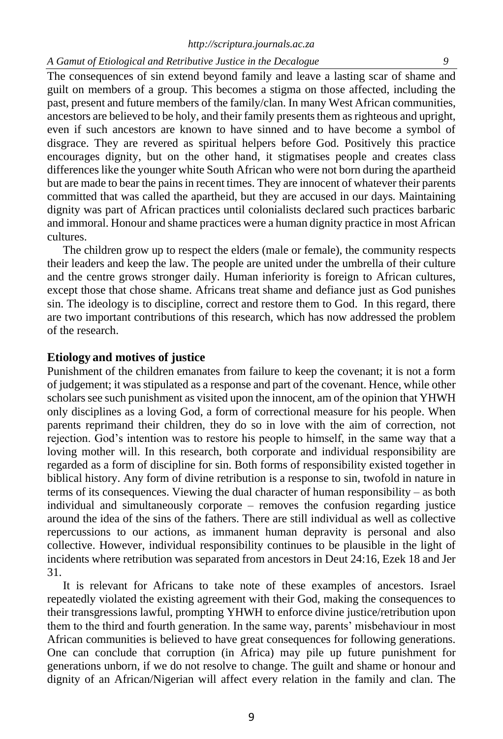The consequences of sin extend beyond family and leave a lasting scar of shame and guilt on members of a group. This becomes a stigma on those affected, including the past, present and future members of the family/clan. In many West African communities, ancestors are believed to be holy, and their family presents them as righteous and upright, even if such ancestors are known to have sinned and to have become a symbol of disgrace. They are revered as spiritual helpers before God. Positively this practice encourages dignity, but on the other hand, it stigmatises people and creates class differences like the younger white South African who were not born during the apartheid but are made to bear the pains in recent times. They are innocent of whatever their parents committed that was called the apartheid, but they are accused in our days. Maintaining dignity was part of African practices until colonialists declared such practices barbaric and immoral. Honour and shame practices were a human dignity practice in most African cultures.

The children grow up to respect the elders (male or female), the community respects their leaders and keep the law. The people are united under the umbrella of their culture and the centre grows stronger daily. Human inferiority is foreign to African cultures, except those that chose shame. Africans treat shame and defiance just as God punishes sin. The ideology is to discipline, correct and restore them to God. In this regard, there are two important contributions of this research, which has now addressed the problem of the research.

#### **Etiology and motives of justice**

Punishment of the children emanates from failure to keep the covenant; it is not a form of judgement; it was stipulated as a response and part of the covenant. Hence, while other scholars see such punishment as visited upon the innocent, am of the opinion that YHWH only disciplines as a loving God, a form of correctional measure for his people. When parents reprimand their children, they do so in love with the aim of correction, not rejection. God's intention was to restore his people to himself, in the same way that a loving mother will. In this research, both corporate and individual responsibility are regarded as a form of discipline for sin. Both forms of responsibility existed together in biblical history. Any form of divine retribution is a response to sin, twofold in nature in terms of its consequences. Viewing the dual character of human responsibility – as both individual and simultaneously corporate – removes the confusion regarding justice around the idea of the sins of the fathers. There are still individual as well as collective repercussions to our actions, as immanent human depravity is personal and also collective. However, individual responsibility continues to be plausible in the light of incidents where retribution was separated from ancestors in Deut 24:16, Ezek 18 and Jer 31.

It is relevant for Africans to take note of these examples of ancestors. Israel repeatedly violated the existing agreement with their God, making the consequences to their transgressions lawful, prompting YHWH to enforce divine justice/retribution upon them to the third and fourth generation. In the same way, parents' misbehaviour in most African communities is believed to have great consequences for following generations. One can conclude that corruption (in Africa) may pile up future punishment for generations unborn, if we do not resolve to change. The guilt and shame or honour and dignity of an African/Nigerian will affect every relation in the family and clan. The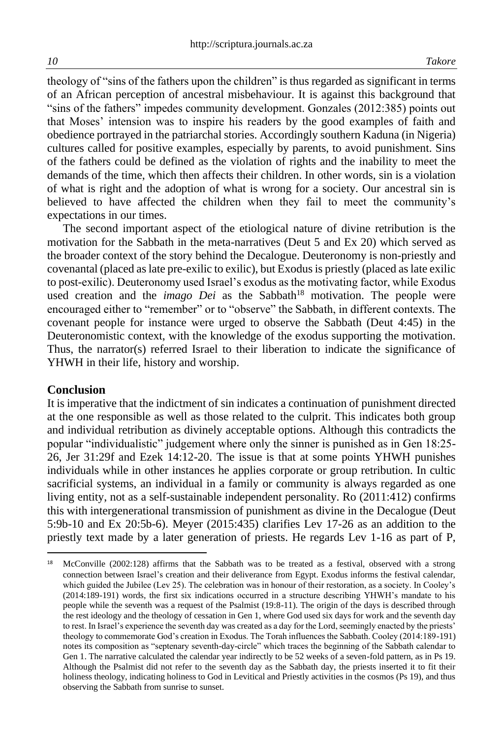theology of "sins of the fathers upon the children" is thus regarded as significant in terms of an African perception of ancestral misbehaviour. It is against this background that "sins of the fathers" impedes community development. Gonzales (2012:385) points out that Moses' intension was to inspire his readers by the good examples of faith and obedience portrayed in the patriarchal stories. Accordingly southern Kaduna (in Nigeria) cultures called for positive examples, especially by parents, to avoid punishment. Sins of the fathers could be defined as the violation of rights and the inability to meet the demands of the time, which then affects their children. In other words, sin is a violation of what is right and the adoption of what is wrong for a society. Our ancestral sin is believed to have affected the children when they fail to meet the community's expectations in our times.

The second important aspect of the etiological nature of divine retribution is the motivation for the Sabbath in the meta-narratives (Deut 5 and Ex 20) which served as the broader context of the story behind the Decalogue. Deuteronomy is non-priestly and covenantal (placed as late pre-exilic to exilic), but Exodus is priestly (placed as late exilic to post-exilic). Deuteronomy used Israel's exodus as the motivating factor, while Exodus used creation and the *imago Dei* as the Sabbath<sup>18</sup> motivation. The people were encouraged either to "remember" or to "observe" the Sabbath, in different contexts. The covenant people for instance were urged to observe the Sabbath (Deut 4:45) in the Deuteronomistic context, with the knowledge of the exodus supporting the motivation. Thus, the narrator(s) referred Israel to their liberation to indicate the significance of YHWH in their life, history and worship.

#### **Conclusion**

It is imperative that the indictment of sin indicates a continuation of punishment directed at the one responsible as well as those related to the culprit. This indicates both group and individual retribution as divinely acceptable options. Although this contradicts the popular "individualistic" judgement where only the sinner is punished as in Gen 18:25- 26, Jer 31:29f and Ezek 14:12-20. The issue is that at some points YHWH punishes individuals while in other instances he applies corporate or group retribution. In cultic sacrificial systems, an individual in a family or community is always regarded as one living entity, not as a self-sustainable independent personality. Ro (2011:412) confirms this with intergenerational transmission of punishment as divine in the Decalogue (Deut 5:9b-10 and Ex 20:5b-6). Meyer (2015:435) clarifies Lev 17-26 as an addition to the priestly text made by a later generation of priests. He regards Lev 1-16 as part of P,

<sup>18</sup> McConville (2002:128) affirms that the Sabbath was to be treated as a festival, observed with a strong connection between Israel's creation and their deliverance from Egypt. Exodus informs the festival calendar, which guided the Jubilee (Lev 25). The celebration was in honour of their restoration, as a society. In Cooley's (2014:189-191) words, the first six indications occurred in a structure describing YHWH's mandate to his people while the seventh was a request of the Psalmist (19:8-11). The origin of the days is described through the rest ideology and the theology of cessation in Gen 1, where God used six days for work and the seventh day to rest. In Israel's experience the seventh day was created as a day for the Lord, seemingly enacted by the priests' theology to commemorate God's creation in Exodus. The Torah influences the Sabbath. Cooley (2014:189-191) notes its composition as "septenary seventh-day-circle" which traces the beginning of the Sabbath calendar to Gen 1. The narrative calculated the calendar year indirectly to be 52 weeks of a seven-fold pattern, as in Ps 19. Although the Psalmist did not refer to the seventh day as the Sabbath day, the priests inserted it to fit their holiness theology, indicating holiness to God in Levitical and Priestly activities in the cosmos (Ps 19), and thus observing the Sabbath from sunrise to sunset.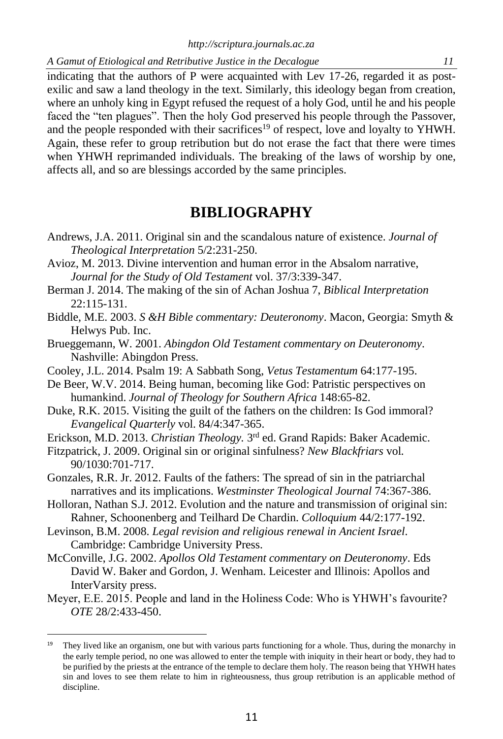indicating that the authors of P were acquainted with Lev 17-26, regarded it as postexilic and saw a land theology in the text. Similarly, this ideology began from creation, where an unholy king in Egypt refused the request of a holy God, until he and his people faced the "ten plagues". Then the holy God preserved his people through the Passover, and the people responded with their sacrifices<sup>19</sup> of respect, love and loyalty to YHWH. Again, these refer to group retribution but do not erase the fact that there were times when YHWH reprimanded individuals. The breaking of the laws of worship by one, affects all, and so are blessings accorded by the same principles.

# **BIBLIOGRAPHY**

- Andrews, J.A. 2011. Original sin and the scandalous nature of existence. *Journal of Theological Interpretation* 5/2:231-250.
- Avioz, M. 2013. Divine intervention and human error in the Absalom narrative, *Journal for the Study of Old Testament* vol. 37/3:339-347.
- Berman J. 2014. The making of the sin of Achan Joshua 7, *Biblical Interpretation* 22:115-131.
- Biddle, M.E. 2003. *S &H Bible commentary: Deuteronomy*. Macon, Georgia: Smyth & Helwys Pub. Inc.
- Brueggemann, W. 2001. *Abingdon Old Testament commentary on Deuteronomy*. Nashville: Abingdon Press.
- Cooley, J.L. 2014. Psalm 19: A Sabbath Song, *Vetus Testamentum* 64:177-195.
- De Beer, W.V. 2014. Being human, becoming like God: Patristic perspectives on humankind. *Journal of Theology for Southern Africa* 148:65-82.
- Duke, R.K. 2015. Visiting the guilt of the fathers on the children: Is God immoral? *Evangelical Quarterly* vol. 84/4:347-365.
- Erickson, M.D. 2013. *Christian Theology.* 3 rd ed. Grand Rapids: Baker Academic.
- Fitzpatrick, J. 2009. Original sin or original sinfulness? *New Blackfriars* vol*.* 90/1030:701-717.
- Gonzales, R.R. Jr. 2012. Faults of the fathers: The spread of sin in the patriarchal narratives and its implications. *Westminster Theological Journal* 74:367-386.
- Holloran, Nathan S.J. 2012. Evolution and the nature and transmission of original sin: Rahner, Schoonenberg and Teilhard De Chardin. *Colloquium* 44/2:177-192.
- Levinson, B.M. 2008. *Legal revision and religious renewal in Ancient Israel*. Cambridge: Cambridge University Press.
- McConville, J.G. 2002. *Apollos Old Testament commentary on Deuteronomy*. Eds David W. Baker and Gordon, J. Wenham. Leicester and Illinois: Apollos and InterVarsity press.
- Meyer, E.E. 2015. People and land in the Holiness Code: Who is YHWH's favourite? *OTE* 28/2:433-450.

<sup>&</sup>lt;sup>19</sup> They lived like an organism, one but with various parts functioning for a whole. Thus, during the monarchy in the early temple period, no one was allowed to enter the temple with iniquity in their heart or body, they had to be purified by the priests at the entrance of the temple to declare them holy. The reason being that YHWH hates sin and loves to see them relate to him in righteousness, thus group retribution is an applicable method of discipline.